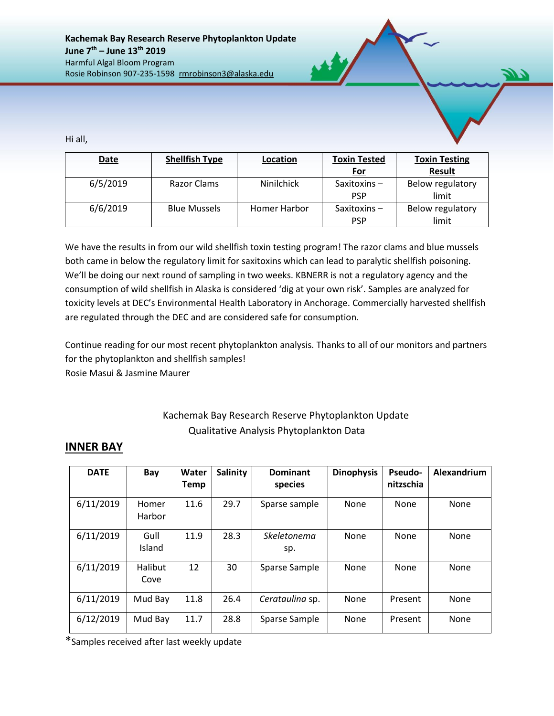Hi all,

| Date     | <b>Shellfish Type</b> | Location          | <b>Toxin Tested</b><br><b>Toxin Testing</b> |                           |
|----------|-----------------------|-------------------|---------------------------------------------|---------------------------|
|          |                       |                   | <u>For</u>                                  | <b>Result</b>             |
| 6/5/2019 | Razor Clams           | <b>Ninilchick</b> | Saxitoxins $-$<br><b>PSP</b>                | Below regulatory<br>limit |
| 6/6/2019 | <b>Blue Mussels</b>   | Homer Harbor      | Saxitoxins $-$                              | Below regulatory          |
|          |                       |                   | <b>PSP</b>                                  | limit                     |

We have the results in from our wild shellfish toxin testing program! The razor clams and blue mussels both came in below the regulatory limit for saxitoxins which can lead to paralytic shellfish poisoning. We'll be doing our next round of sampling in two weeks. KBNERR is not a regulatory agency and the consumption of wild shellfish in Alaska is considered 'dig at your own risk'. Samples are analyzed for toxicity levels at DEC's Environmental Health Laboratory in Anchorage. Commercially harvested shellfish are regulated through the DEC and are considered safe for consumption.

Continue reading for our most recent phytoplankton analysis. Thanks to all of our monitors and partners for the phytoplankton and shellfish samples!

Rosie Masui & Jasmine Maurer

## Kachemak Bay Research Reserve Phytoplankton Update Qualitative Analysis Phytoplankton Data

## **INNER BAY**

| <b>DATE</b> | Bay             | Water<br><b>Temp</b> | <b>Salinity</b> | <b>Dominant</b><br>species | <b>Dinophysis</b> | <b>Pseudo-</b><br>nitzschia | Alexandrium |
|-------------|-----------------|----------------------|-----------------|----------------------------|-------------------|-----------------------------|-------------|
| 6/11/2019   | Homer<br>Harbor | 11.6                 | 29.7            | Sparse sample              | None              | None                        | None        |
| 6/11/2019   | Gull<br>Island  | 11.9                 | 28.3            | Skeletonema<br>sp.         | None              | None                        | None        |
| 6/11/2019   | Halibut<br>Cove | 12                   | 30              | Sparse Sample              | None              | None                        | <b>None</b> |
| 6/11/2019   | Mud Bay         | 11.8                 | 26.4            | Cerataulina sp.            | None              | Present                     | None        |
| 6/12/2019   | Mud Bay         | 11.7                 | 28.8            | Sparse Sample              | None              | Present                     | None        |

\*Samples received after last weekly update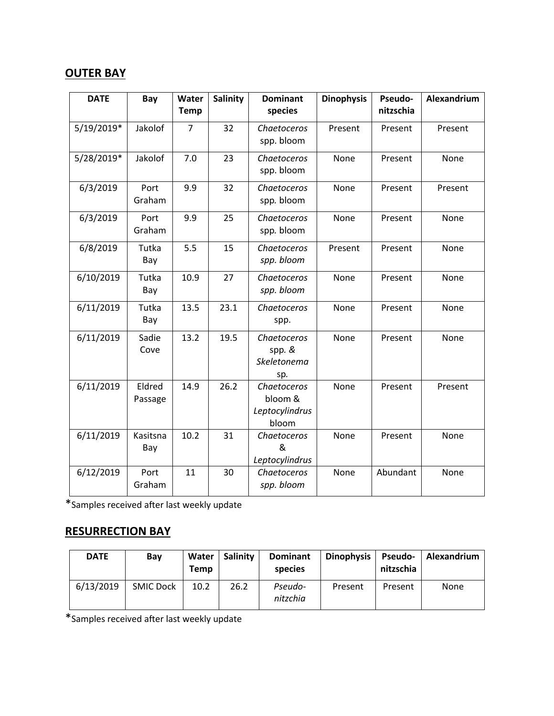## **OUTER BAY**

| <b>DATE</b> | Bay               | Water<br><b>Temp</b> | <b>Salinity</b> | <b>Dominant</b><br>species                        | <b>Dinophysis</b> | Pseudo-<br>nitzschia | Alexandrium |
|-------------|-------------------|----------------------|-----------------|---------------------------------------------------|-------------------|----------------------|-------------|
| 5/19/2019*  | Jakolof           | 7                    | 32              | Chaetoceros<br>spp. bloom                         | Present           | Present              | Present     |
| 5/28/2019*  | Jakolof           | 7.0                  | 23              | Chaetoceros<br>spp. bloom                         | None              | Present              | None        |
| 6/3/2019    | Port<br>Graham    | 9.9                  | 32              | Chaetoceros<br>spp. bloom                         | None              | Present              | Present     |
| 6/3/2019    | Port<br>Graham    | 9.9                  | 25              | Chaetoceros<br>spp. bloom                         | None              | Present              | None        |
| 6/8/2019    | Tutka<br>Bay      | 5.5                  | 15              | Chaetoceros<br>spp. bloom                         | Present           | Present              | None        |
| 6/10/2019   | Tutka<br>Bay      | 10.9                 | 27              | Chaetoceros<br>spp. bloom                         | None              | Present              | None        |
| 6/11/2019   | Tutka<br>Bay      | 13.5                 | 23.1            | Chaetoceros<br>spp.                               | None              | Present              | None        |
| 6/11/2019   | Sadie<br>Cove     | 13.2                 | 19.5            | Chaetoceros<br>spp. &<br>Skeletonema<br>sp.       | None              | Present              | None        |
| 6/11/2019   | Eldred<br>Passage | 14.9                 | 26.2            | Chaetoceros<br>bloom &<br>Leptocylindrus<br>bloom | None              | Present              | Present     |
| 6/11/2019   | Kasitsna<br>Bay   | 10.2                 | 31              | Chaetoceros<br>&<br>Leptocylindrus                | None              | Present              | None        |
| 6/12/2019   | Port<br>Graham    | 11                   | 30              | Chaetoceros<br>spp. bloom                         | None              | Abundant             | None        |

\*Samples received after last weekly update

## **RESURRECTION BAY**

| <b>DATE</b> | Bay              | Water<br><b>Temp</b> | Salinity | <b>Dominant</b><br>species | <b>Dinophysis</b> | <b>Pseudo-</b><br>nitzschia | Alexandrium |
|-------------|------------------|----------------------|----------|----------------------------|-------------------|-----------------------------|-------------|
| 6/13/2019   | <b>SMIC Dock</b> | 10.2                 | 26.2     | Pseudo-<br>nitzchia        | Present           | Present                     | None        |

\*Samples received after last weekly update